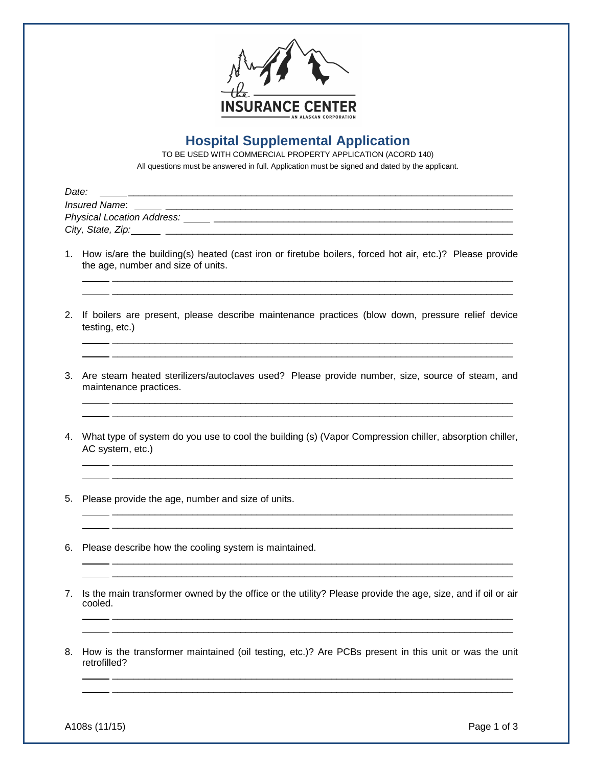

## **Hospital Supplemental Application**

TO BE USED WITH COMMERCIAL PROPERTY APPLICATION (ACORD 140) All questions must be answered in full. Application must be signed and dated by the applicant.

| Date:                      |
|----------------------------|
| Insured Name:              |
| Physical Location Address: |
| City, State, Zip:          |

1. How is/are the building(s) heated (cast iron or firetube boilers, forced hot air, etc.)? Please provide the age, number and size of units.

 \_\_\_\_\_\_\_\_\_\_\_\_\_\_\_\_\_\_\_\_\_\_\_\_\_\_\_\_\_\_\_\_\_\_\_\_\_\_\_\_\_\_\_\_\_\_\_\_\_\_\_\_\_\_\_\_\_\_\_\_\_\_\_\_\_\_\_\_\_\_\_\_\_\_\_ \_\_\_\_\_\_\_\_\_\_\_\_\_\_\_\_\_\_\_\_\_\_\_\_\_\_\_\_\_\_\_\_\_\_\_\_\_\_\_\_\_\_\_\_\_\_\_\_\_\_\_\_\_\_\_\_\_\_\_\_\_\_\_\_\_\_\_\_\_\_\_\_\_\_\_

2. If boilers are present, please describe maintenance practices (blow down, pressure relief device testing, etc.)

 \_\_\_\_\_\_\_\_\_\_\_\_\_\_\_\_\_\_\_\_\_\_\_\_\_\_\_\_\_\_\_\_\_\_\_\_\_\_\_\_\_\_\_\_\_\_\_\_\_\_\_\_\_\_\_\_\_\_\_\_\_\_\_\_\_\_\_\_\_\_\_\_\_\_\_ \_\_\_\_\_\_\_\_\_\_\_\_\_\_\_\_\_\_\_\_\_\_\_\_\_\_\_\_\_\_\_\_\_\_\_\_\_\_\_\_\_\_\_\_\_\_\_\_\_\_\_\_\_\_\_\_\_\_\_\_\_\_\_\_\_\_\_\_\_\_\_\_\_\_\_

3. Are steam heated sterilizers/autoclaves used? Please provide number, size, source of steam, and maintenance practices.

 \_\_\_\_\_\_\_\_\_\_\_\_\_\_\_\_\_\_\_\_\_\_\_\_\_\_\_\_\_\_\_\_\_\_\_\_\_\_\_\_\_\_\_\_\_\_\_\_\_\_\_\_\_\_\_\_\_\_\_\_\_\_\_\_\_\_\_\_\_\_\_\_\_\_\_ \_\_\_\_\_\_\_\_\_\_\_\_\_\_\_\_\_\_\_\_\_\_\_\_\_\_\_\_\_\_\_\_\_\_\_\_\_\_\_\_\_\_\_\_\_\_\_\_\_\_\_\_\_\_\_\_\_\_\_\_\_\_\_\_\_\_\_\_\_\_\_\_\_\_\_

4. What type of system do you use to cool the building (s) (Vapor Compression chiller, absorption chiller, AC system, etc.)

\_\_\_\_\_\_\_\_\_\_\_\_\_\_\_\_\_\_\_\_\_\_\_\_\_\_\_\_\_\_\_\_\_\_\_\_\_\_\_\_\_\_\_\_\_\_\_\_\_\_\_\_\_\_\_\_\_\_\_\_\_\_\_\_\_\_\_\_\_\_\_\_\_\_\_

 \_\_\_\_\_\_\_\_\_\_\_\_\_\_\_\_\_\_\_\_\_\_\_\_\_\_\_\_\_\_\_\_\_\_\_\_\_\_\_\_\_\_\_\_\_\_\_\_\_\_\_\_\_\_\_\_\_\_\_\_\_\_\_\_\_\_\_\_\_\_\_\_\_\_\_ \_\_\_\_\_\_\_\_\_\_\_\_\_\_\_\_\_\_\_\_\_\_\_\_\_\_\_\_\_\_\_\_\_\_\_\_\_\_\_\_\_\_\_\_\_\_\_\_\_\_\_\_\_\_\_\_\_\_\_\_\_\_\_\_\_\_\_\_\_\_\_\_\_\_\_

 \_\_\_\_\_\_\_\_\_\_\_\_\_\_\_\_\_\_\_\_\_\_\_\_\_\_\_\_\_\_\_\_\_\_\_\_\_\_\_\_\_\_\_\_\_\_\_\_\_\_\_\_\_\_\_\_\_\_\_\_\_\_\_\_\_\_\_\_\_\_\_\_\_\_\_  $\mathcal{L}_\text{max}$  and  $\mathcal{L}_\text{max}$  and  $\mathcal{L}_\text{max}$  and  $\mathcal{L}_\text{max}$ 

- 5. Please provide the age, number and size of units.
- 6. Please describe how the cooling system is maintained.
- 7. Is the main transformer owned by the office or the utility? Please provide the age, size, and if oil or air cooled.

 \_\_\_\_\_\_\_\_\_\_\_\_\_\_\_\_\_\_\_\_\_\_\_\_\_\_\_\_\_\_\_\_\_\_\_\_\_\_\_\_\_\_\_\_\_\_\_\_\_\_\_\_\_\_\_\_\_\_\_\_\_\_\_\_\_\_\_\_\_\_\_\_\_\_\_ \_\_\_\_\_\_\_\_\_\_\_\_\_\_\_\_\_\_\_\_\_\_\_\_\_\_\_\_\_\_\_\_\_\_\_\_\_\_\_\_\_\_\_\_\_\_\_\_\_\_\_\_\_\_\_\_\_\_\_\_\_\_\_\_\_\_\_\_\_\_\_\_\_\_\_

8. How is the transformer maintained (oil testing, etc.)? Are PCBs present in this unit or was the unit retrofilled?

 \_\_\_\_\_\_\_\_\_\_\_\_\_\_\_\_\_\_\_\_\_\_\_\_\_\_\_\_\_\_\_\_\_\_\_\_\_\_\_\_\_\_\_\_\_\_\_\_\_\_\_\_\_\_\_\_\_\_\_\_\_\_\_\_\_\_\_\_\_\_\_\_\_\_\_ \_\_\_\_\_\_\_\_\_\_\_\_\_\_\_\_\_\_\_\_\_\_\_\_\_\_\_\_\_\_\_\_\_\_\_\_\_\_\_\_\_\_\_\_\_\_\_\_\_\_\_\_\_\_\_\_\_\_\_\_\_\_\_\_\_\_\_\_\_\_\_\_\_\_\_

A108s (11/15) Page 1 of 3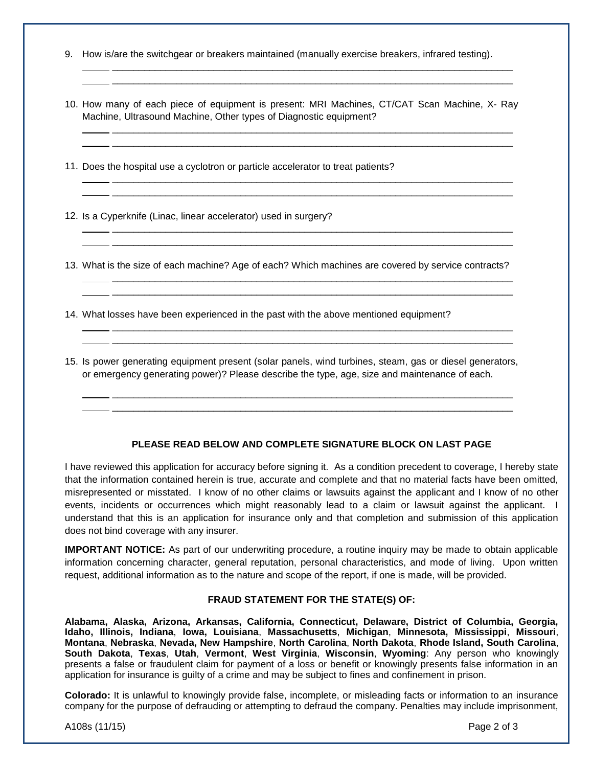- 9. How is/are the switchgear or breakers maintained (manually exercise breakers, infrared testing).
- 10. How many of each piece of equipment is present: MRI Machines, CT/CAT Scan Machine, X- Ray Machine, Ultrasound Machine, Other types of Diagnostic equipment?

 \_\_\_\_\_\_\_\_\_\_\_\_\_\_\_\_\_\_\_\_\_\_\_\_\_\_\_\_\_\_\_\_\_\_\_\_\_\_\_\_\_\_\_\_\_\_\_\_\_\_\_\_\_\_\_\_\_\_\_\_\_\_\_\_\_\_\_\_\_\_\_\_\_\_\_ \_\_\_\_\_\_\_\_\_\_\_\_\_\_\_\_\_\_\_\_\_\_\_\_\_\_\_\_\_\_\_\_\_\_\_\_\_\_\_\_\_\_\_\_\_\_\_\_\_\_\_\_\_\_\_\_\_\_\_\_\_\_\_\_\_\_\_\_\_\_\_\_\_\_\_

 \_\_\_\_\_\_\_\_\_\_\_\_\_\_\_\_\_\_\_\_\_\_\_\_\_\_\_\_\_\_\_\_\_\_\_\_\_\_\_\_\_\_\_\_\_\_\_\_\_\_\_\_\_\_\_\_\_\_\_\_\_\_\_\_\_\_\_\_\_\_\_\_\_\_\_ \_\_\_\_\_\_\_\_\_\_\_\_\_\_\_\_\_\_\_\_\_\_\_\_\_\_\_\_\_\_\_\_\_\_\_\_\_\_\_\_\_\_\_\_\_\_\_\_\_\_\_\_\_\_\_\_\_\_\_\_\_\_\_\_\_\_\_\_\_\_\_\_\_\_\_

 \_\_\_\_\_\_\_\_\_\_\_\_\_\_\_\_\_\_\_\_\_\_\_\_\_\_\_\_\_\_\_\_\_\_\_\_\_\_\_\_\_\_\_\_\_\_\_\_\_\_\_\_\_\_\_\_\_\_\_\_\_\_\_\_\_\_\_\_\_\_\_\_\_\_\_ \_\_\_\_\_\_\_\_\_\_\_\_\_\_\_\_\_\_\_\_\_\_\_\_\_\_\_\_\_\_\_\_\_\_\_\_\_\_\_\_\_\_\_\_\_\_\_\_\_\_\_\_\_\_\_\_\_\_\_\_\_\_\_\_\_\_\_\_\_\_\_\_\_\_\_

 \_\_\_\_\_\_\_\_\_\_\_\_\_\_\_\_\_\_\_\_\_\_\_\_\_\_\_\_\_\_\_\_\_\_\_\_\_\_\_\_\_\_\_\_\_\_\_\_\_\_\_\_\_\_\_\_\_\_\_\_\_\_\_\_\_\_\_\_\_\_\_\_\_\_\_ \_\_\_\_\_\_\_\_\_\_\_\_\_\_\_\_\_\_\_\_\_\_\_\_\_\_\_\_\_\_\_\_\_\_\_\_\_\_\_\_\_\_\_\_\_\_\_\_\_\_\_\_\_\_\_\_\_\_\_\_\_\_\_\_\_\_\_\_\_\_\_\_\_\_\_

 \_\_\_\_\_\_\_\_\_\_\_\_\_\_\_\_\_\_\_\_\_\_\_\_\_\_\_\_\_\_\_\_\_\_\_\_\_\_\_\_\_\_\_\_\_\_\_\_\_\_\_\_\_\_\_\_\_\_\_\_\_\_\_\_\_\_\_\_\_\_\_\_\_\_\_ \_\_\_\_\_\_\_\_\_\_\_\_\_\_\_\_\_\_\_\_\_\_\_\_\_\_\_\_\_\_\_\_\_\_\_\_\_\_\_\_\_\_\_\_\_\_\_\_\_\_\_\_\_\_\_\_\_\_\_\_\_\_\_\_\_\_\_\_\_\_\_\_\_\_\_

 \_\_\_\_\_\_\_\_\_\_\_\_\_\_\_\_\_\_\_\_\_\_\_\_\_\_\_\_\_\_\_\_\_\_\_\_\_\_\_\_\_\_\_\_\_\_\_\_\_\_\_\_\_\_\_\_\_\_\_\_\_\_\_\_\_\_\_\_\_\_\_\_\_\_\_ \_\_\_\_\_\_\_\_\_\_\_\_\_\_\_\_\_\_\_\_\_\_\_\_\_\_\_\_\_\_\_\_\_\_\_\_\_\_\_\_\_\_\_\_\_\_\_\_\_\_\_\_\_\_\_\_\_\_\_\_\_\_\_\_\_\_\_\_\_\_\_\_\_\_\_

11. Does the hospital use a cyclotron or particle accelerator to treat patients?

12. Is a Cyperknife (Linac, linear accelerator) used in surgery?

13. What is the size of each machine? Age of each? Which machines are covered by service contracts?

14. What losses have been experienced in the past with the above mentioned equipment?

15. Is power generating equipment present (solar panels, wind turbines, steam, gas or diesel generators, or emergency generating power)? Please describe the type, age, size and maintenance of each.

 \_\_\_\_\_\_\_\_\_\_\_\_\_\_\_\_\_\_\_\_\_\_\_\_\_\_\_\_\_\_\_\_\_\_\_\_\_\_\_\_\_\_\_\_\_\_\_\_\_\_\_\_\_\_\_\_\_\_\_\_\_\_\_\_\_\_\_\_\_\_\_\_\_\_\_ \_\_\_\_\_\_\_\_\_\_\_\_\_\_\_\_\_\_\_\_\_\_\_\_\_\_\_\_\_\_\_\_\_\_\_\_\_\_\_\_\_\_\_\_\_\_\_\_\_\_\_\_\_\_\_\_\_\_\_\_\_\_\_\_\_\_\_\_\_\_\_\_\_\_\_

## **PLEASE READ BELOW AND COMPLETE SIGNATURE BLOCK ON LAST PAGE**

I have reviewed this application for accuracy before signing it. As a condition precedent to coverage, I hereby state that the information contained herein is true, accurate and complete and that no material facts have been omitted, misrepresented or misstated. I know of no other claims or lawsuits against the applicant and I know of no other events, incidents or occurrences which might reasonably lead to a claim or lawsuit against the applicant. I understand that this is an application for insurance only and that completion and submission of this application does not bind coverage with any insurer.

**IMPORTANT NOTICE:** As part of our underwriting procedure, a routine inquiry may be made to obtain applicable information concerning character, general reputation, personal characteristics, and mode of living. Upon written request, additional information as to the nature and scope of the report, if one is made, will be provided.

## **FRAUD STATEMENT FOR THE STATE(S) OF:**

**Alabama, Alaska, Arizona, Arkansas, California, Connecticut, Delaware, District of Columbia, Georgia, Idaho, Illinois, Indiana**, **Iowa, Louisiana**, **Massachusetts**, **Michigan**, **Minnesota, Mississippi**, **Missouri**, **Montana**, **Nebraska**, **Nevada, New Hampshire**, **North Carolina**, **North Dakota**, **Rhode Island, South Carolina**, **South Dakota**, **Texas**, **Utah**, **Vermont**, **West Virginia**, **Wisconsin**, **Wyoming**: Any person who knowingly presents a false or fraudulent claim for payment of a loss or benefit or knowingly presents false information in an application for insurance is guilty of a crime and may be subject to fines and confinement in prison.

**Colorado:** It is unlawful to knowingly provide false, incomplete, or misleading facts or information to an insurance company for the purpose of defrauding or attempting to defraud the company. Penalties may include imprisonment,

A108s (11/15) Page 2 of 3